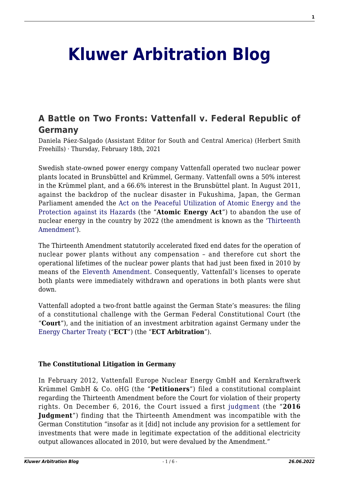# **[Kluwer Arbitration Blog](http://arbitrationblog.kluwerarbitration.com/)**

# **[A Battle on Two Fronts: Vattenfall v. Federal Republic of](http://arbitrationblog.kluwerarbitration.com/2021/02/18/a-battle-on-two-fronts-vattenfall-v-federal-republic-of-germany/) [Germany](http://arbitrationblog.kluwerarbitration.com/2021/02/18/a-battle-on-two-fronts-vattenfall-v-federal-republic-of-germany/)**

Daniela Páez-Salgado (Assistant Editor for South and Central America) (Herbert Smith Freehills) · Thursday, February 18th, 2021

Swedish state-owned power energy company Vattenfall operated two nuclear power plants located in Brunsbüttel and Krümmel, Germany. Vattenfall owns a 50% interest in the Krümmel plant, and a 66.6% interest in the Brunsbüttel plant. In August 2011, against the backdrop of the nuclear disaster in Fukushima, Japan, the German Parliament amended the [Act on the Peaceful Utilization of Atomic Energy and the](http://www.gesetze-im-internet.de/atg/BJNR008140959.html#BJNR008140959BJNG000100326) [Protection against its Hazards](http://www.gesetze-im-internet.de/atg/BJNR008140959.html#BJNR008140959BJNG000100326) (the "**Atomic Energy Act**") to abandon the use of nuclear energy in the country by 2022 (the amendment is known as the ['Thirteenth](https://www.bgbl.de/xaver/bgbl/start.xav?startbk=Bundesanzeiger_BGBl&jumpTo=bgbl111s1704.pdf#__bgbl__%2F%2F*%5B%40attr_id%3D%27bgbl111s1704.pdf%27%5D__1611718231428) [Amendment](https://www.bgbl.de/xaver/bgbl/start.xav?startbk=Bundesanzeiger_BGBl&jumpTo=bgbl111s1704.pdf#__bgbl__%2F%2F*%5B%40attr_id%3D%27bgbl111s1704.pdf%27%5D__1611718231428)').

The Thirteenth Amendment statutorily accelerated fixed end dates for the operation of nuclear power plants without any compensation – and therefore cut short the operational lifetimes of the nuclear power plants that had just been fixed in 2010 by means of the [Eleventh Amendment.](https://www.bgbl.de/xaver/bgbl/start.xav?startbk=Bundesanzeiger_BGBl&jumpTo=bgbl110s1814.pdf#__bgbl__%2F%2F*%5B%40attr_id%3D%27bgbl110s1814.pdf%27%5D__1611718304171) Consequently, Vattenfall's licenses to operate both plants were immediately withdrawn and operations in both plants were shut down.

Vattenfall adopted a two-front battle against the German State's measures: the filing of a constitutional challenge with the German Federal Constitutional Court (the "**Court**"), and the initiation of an investment arbitration against Germany under the [Energy Charter Treaty](https://www.energycharter.org/fileadmin/DocumentsMedia/Legal/ECTC-en.pdf) ("**ECT**") (the "**ECT Arbitration**").

### **The Constitutional Litigation in Germany**

In February 2012, Vattenfall Europe Nuclear Energy GmbH and Kernkraftwerk Krümmel GmbH & Co. oHG (the "**Petitioners**") filed a constitutional complaint regarding the Thirteenth Amendment before the Court for violation of their property rights. On December 6, 2016, the Court issued a first [judgment](https://www.bundesverfassungsgericht.de/SharedDocs/Entscheidungen/EN/2016/12/rs20161206_1bvr282111en.html) (the "**2016 Judgment**") finding that the Thirteenth Amendment was incompatible with the German Constitution "insofar as it [did] not include any provision for a settlement for investments that were made in legitimate expectation of the additional electricity output allowances allocated in 2010, but were devalued by the Amendment."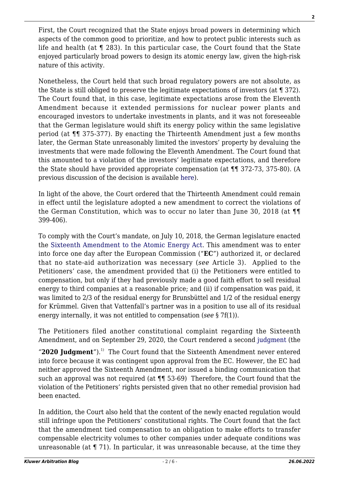First, the Court recognized that the State enjoys broad powers in determining which aspects of the common good to prioritize, and how to protect public interests such as life and health (at ¶ 283). In this particular case, the Court found that the State enjoyed particularly broad powers to design its atomic energy law, given the high-risk nature of this activity.

Nonetheless, the Court held that such broad regulatory powers are not absolute, as the State is still obliged to preserve the legitimate expectations of investors (at ¶ 372). The Court found that, in this case, legitimate expectations arose from the Eleventh Amendment because it extended permissions for nuclear power plants and encouraged investors to undertake investments in plants, and it was not foreseeable that the German legislature would shift its energy policy within the same legislative period (at ¶¶ 375-377). By enacting the Thirteenth Amendment just a few months later, the German State unreasonably limited the investors' property by devaluing the investments that were made following the Eleventh Amendment. The Court found that this amounted to a violation of the investors' legitimate expectations, and therefore the State should have provided appropriate compensation (at ¶¶ 372-73, 375-80). (A previous discussion of the decision is available [here](http://arbitrationblog.kluwerarbitration.com/2017/01/10/legitimate-expectations-in-the-vattenfall-case-at-the-heart-of-the-debate-over-isds/)).

In light of the above, the Court ordered that the Thirteenth Amendment could remain in effect until the legislature adopted a new amendment to correct the violations of the German Constitution, which was to occur no later than June 30, 2018 (at ¶¶ 399-406).

To comply with the Court's mandate, on July 10, 2018, the German legislature enacted the [Sixteenth Amendment to the Atomic Energy Act.](https://www.bgbl.de/xaver/bgbl/start.xav?startbk=Bundesanzeiger_BGBl&start=%252F%252F%252A%255B%2540attr_id=%2527bgbl116s0390.pdf%2527%255D#__bgbl__%2F%2F*%5B%40attr_id%3D%27bgbl118s1122.pdf%27%5D__1612290437894) This amendment was to enter into force one day after the European Commission ("**EC**") authorized it, or declared that no state-aid authorization was necessary (*see* Article 3). Applied to the Petitioners' case, the amendment provided that (i) the Petitioners were entitled to compensation, but only if they had previously made a good faith effort to sell residual energy to third companies at a reasonable price; and (ii) if compensation was paid, it was limited to 2/3 of the residual energy for Brunsbüttel and 1/2 of the residual energy for Krümmel. Given that Vattenfall's partner was in a position to use all of its residual energy internally, it was not entitled to compensation (*see* § 7f(1)).

The Petitioners filed another constitutional complaint regarding the Sixteenth Amendment, and on September 29, 2020, the Court rendered a second [judgment](https://www.bundesverfassungsgericht.de/SharedDocs/Entscheidungen/EN/2020/09/rs20200929_1bvr155019en.html) (the

"**2020 Judgment**").<sup>1)</sup> The Court found that the Sixteenth Amendment never entered into force because it was contingent upon approval from the EC. However, the EC had neither approved the Sixteenth Amendment, nor issued a binding communication that such an approval was not required (at  $\P\P$  53-69) Therefore, the Court found that the violation of the Petitioners' rights persisted given that no other remedial provision had been enacted.

In addition, the Court also held that the content of the newly enacted regulation would still infringe upon the Petitioners' constitutional rights. The Court found that the fact that the amendment tied compensation to an obligation to make efforts to transfer compensable electricity volumes to other companies under adequate conditions was unreasonable (at ¶ 71). In particular, it was unreasonable because, at the time they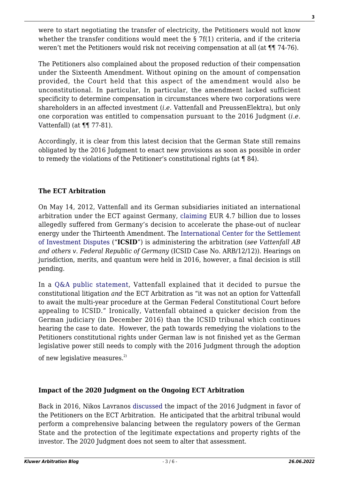were to start negotiating the transfer of electricity, the Petitioners would not know whether the transfer conditions would meet the § 7f(1) criteria, and if the criteria weren't met the Petitioners would risk not receiving compensation at all (at  $\P$  74-76).

The Petitioners also complained about the proposed reduction of their compensation under the Sixteenth Amendment. Without opining on the amount of compensation provided, the Court held that this aspect of the amendment would also be unconstitutional. In particular, In particular, the amendment lacked sufficient specificity to determine compensation in circumstances where two corporations were shareholders in an affected investment (*i.e.* Vattenfall and PreussenElektra), but only one corporation was entitled to compensation pursuant to the 2016 Judgment (*i.e.* Vattenfall) (at ¶¶ 77-81).

Accordingly, it is clear from this latest decision that the German State still remains obligated by the 2016 Judgment to enact new provisions as soon as possible in order to remedy the violations of the Petitioner's constitutional rights (at ¶ 84).

# **The ECT Arbitration**

On May 14, 2012, Vattenfall and its German subsidiaries initiated an international arbitration under the ECT against Germany, [claiming](https://www.reuters.com/article/uk-vattenfall-nuclear-case/germany-says-vattenfall-has-no-grounds-to-seek-arbitration-over-nuclear-phase-out-idUKKBN1I91L3?edition-redirect=uk) EUR 4.7 billion due to losses allegedly suffered from Germany's decision to accelerate the phase-out of nuclear energy under the Thirteenth Amendment. The [International Center for the Settlement](https://icsid.worldbank.org/news-and-events/news-releases/vattenfall-ab-and-others-v-federal-republic-germany-icsid-case-no-0) [of Investment Disputes](https://icsid.worldbank.org/news-and-events/news-releases/vattenfall-ab-and-others-v-federal-republic-germany-icsid-case-no-0) ("**ICSID**") is administering the arbitration (*see Vattenfall AB and others v. Federal Republic of Germany* (ICSID Case No. ARB/12/12)). Hearings on jurisdiction, merits, and quantum were held in 2016, however, a final decision is still pending.

In a [Q&A public statement,](https://group.vattenfall.com/who-we-are/about-us/vattenfall-icsid/questions-and-answers-vattenfall-icsid) Vattenfall explained that it decided to pursue the constitutional litigation *and* the ECT Arbitration as "it was not an option for Vattenfall to await the multi-year procedure at the German Federal Constitutional Court before appealing to ICSID." Ironically, Vattenfall obtained a quicker decision from the German judiciary (in December 2016) than the ICSID tribunal which continues hearing the case to date. However, the path towards remedying the violations to the Petitioners constitutional rights under German law is not finished yet as the German legislative power still needs to comply with the 2016 Judgment through the adoption

of new legislative measures.<sup>2)</sup>

## **Impact of the 2020 Judgment on the Ongoing ECT Arbitration**

Back in 2016, Nikos Lavranos [discussed](http://arbitrationblog.kluwerarbitration.com/2016/12/29/german-constitutional-court-judgment-vattenfall-case-lessons-ect-vattenfall-arbitral-tribunal/?_ga=2.25512309.932129345.1611581478-127612082.1608158318) the impact of the 2016 Judgment in favor of the Petitioners on the ECT Arbitration. He anticipated that the arbitral tribunal would perform a comprehensive balancing between the regulatory powers of the German State and the protection of the legitimate expectations and property rights of the investor. The 2020 Judgment does not seem to alter that assessment.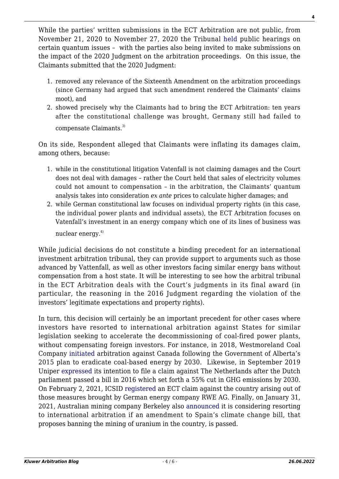While the parties' written submissions in the ECT Arbitration are not public, from November 21, 2020 to November 27, 2020 the Tribunal [held](https://icsid.worldbank.org/news-and-events/news-releases/vattenfall-ab-and-others-v-federal-republic-germany-icsid-case-no-0) public hearings on certain quantum issues – with the parties also being invited to make submissions on the impact of the 2020 Judgment on the arbitration proceedings. On this issue, the Claimants submitted that the 2020 Judgment:

- 1. removed any relevance of the Sixteenth Amendment on the arbitration proceedings (since Germany had argued that such amendment rendered the Claimants' claims moot), and
- 2. showed precisely why the Claimants had to bring the ECT Arbitration: ten years after the constitutional challenge was brought, Germany still had failed to compensate Claimants.<sup>3)</sup>

On its side, Respondent alleged that Claimants were inflating its damages claim, among others, because:

- 1. while in the constitutional litigation Vatenfall is not claiming damages and the Court does not deal with damages – rather the Court held that sales of electricity volumes could not amount to compensation – in the arbitration, the Claimants' quantum analysis takes into consideration *ex ante* prices to calculate higher damages; and
- 2. while German constitutional law focuses on individual property rights (in this case, the individual power plants and individual assets), the ECT Arbitration focuses on Vatenfall's investment in an energy company which one of its lines of business was nuclear energy.<sup>4)</sup>

While judicial decisions do not constitute a binding precedent for an international investment arbitration tribunal, they can provide support to arguments such as those advanced by Vattenfall, as well as other investors facing similar energy bans without compensation from a host state. It will be interesting to see how the arbitral tribunal in the ECT Arbitration deals with the Court's judgments in its final award (in particular, the reasoning in the 2016 Judgment regarding the violation of the investors' legitimate expectations and property rights).

In turn, this decision will certainly be an important precedent for other cases where investors have resorted to international arbitration against States for similar legislation seeking to accelerate the decommissioning of coal-fired power plants, without compensating foreign investors. For instance, in 2018, Westmoreland Coal Company [initiated](https://www.italaw.com/sites/default/files/case-documents/italaw10143_0.pdf) arbitration against Canada following the Government of Alberta's 2015 plan to eradicate coal-based energy by 2030. Likewise, in September 2019 Uniper [expressed](https://www.climatechangenews.com/2020/05/21/uniper-uses-investment-treaty-fight-netherlands-coal-phaseout/) its intention to file a claim against The Netherlands after the Dutch parliament passed a bill in 2016 which set forth a 55% cut in GHG emissions by 2030. On February 2, 2021, ICSID [registered](https://icsid.worldbank.org/cases/case-database/case-detail?CaseNo=ARB/21/4) an ECT claim against the country arising out of those measures brought by German energy company RWE AG. Finally, on January 31, 2021, Australian mining company Berkeley also [announced](https://www.abc.es/sociedad/abci-berkeley-reclamara-500-millones-gobierno-si-ley-clima-frustra-mina-uranio-202101311134_noticia.html) it is considering resorting to international arbitration if an amendment to Spain's climate change bill, that proposes banning the mining of uranium in the country, is passed.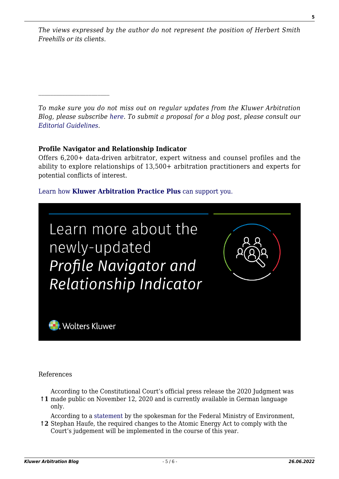*The views expressed by the author do not represent the position of Herbert Smith Freehills or its clients.*

*To make sure you do not miss out on regular updates from the Kluwer Arbitration Blog, please subscribe [here](http://arbitrationblog.kluwerarbitration.com/newsletter/). To submit a proposal for a blog post, please consult our [Editorial Guidelines.](http://arbitrationblog.kluwerarbitration.com/editorial-guidelines/)*

### **Profile Navigator and Relationship Indicator**

Offers 6,200+ data-driven arbitrator, expert witness and counsel profiles and the ability to explore relationships of 13,500+ arbitration practitioners and experts for potential conflicts of interest.

### [Learn how](https://www.wolterskluwer.com/en/solutions/kluwerarbitration/practiceplus?utm_source=arbitrationblog&utm_medium=articleCTA&utm_campaign=article-banner) **[Kluwer Arbitration Practice Plus](https://www.wolterskluwer.com/en/solutions/kluwerarbitration/practiceplus?utm_source=arbitrationblog&utm_medium=articleCTA&utm_campaign=article-banner)** [can support you.](https://www.wolterskluwer.com/en/solutions/kluwerarbitration/practiceplus?utm_source=arbitrationblog&utm_medium=articleCTA&utm_campaign=article-banner)



References

**↑1** made public on November 12, 2020 and is currently available in German language According to the Constitutional Court's official press release the 2020 Judgment was only.

According to a [statement](https://www.finanznachrichten.de/nachrichten-2021-01/51784313-kabinett-billigt-atomgesetznovelle-ohne-entschaedigungsregeln-fuer-konzerne-015.htm) by the spokesman for the Federal Ministry of Environment,

**↑2** Stephan Haufe, the required changes to the Atomic Energy Act to comply with the Court's judgement will be implemented in the course of this year.